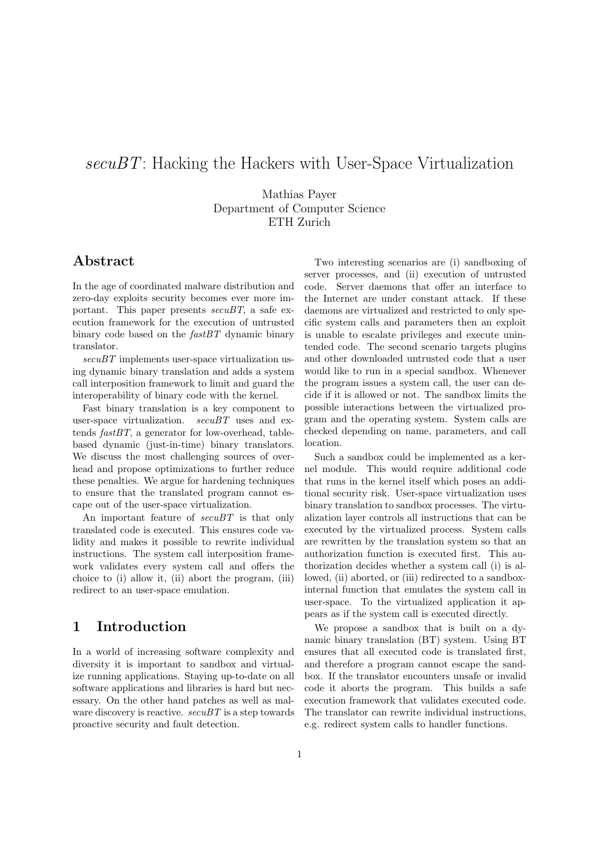# secuBT: Hacking the Hackers with User-Space Virtualization

Mathias Payer Department of Computer Science ETH Zurich

## Abstract

In the age of coordinated malware distribution and zero-day exploits security becomes ever more important. This paper presents  $secuBT$ , a safe execution framework for the execution of untrusted binary code based on the  $fastBT$  dynamic binary translator.

secuBT implements user-space virtualization using dynamic binary translation and adds a system call interposition framework to limit and guard the interoperability of binary code with the kernel.

Fast binary translation is a key component to user-space virtualization.  $secuBT$  uses and extends  $fastBT$ , a generator for low-overhead, tablebased dynamic (just-in-time) binary translators. We discuss the most challenging sources of overhead and propose optimizations to further reduce these penalties. We argue for hardening techniques to ensure that the translated program cannot escape out of the user-space virtualization.

An important feature of  $secuBT$  is that only translated code is executed. This ensures code validity and makes it possible to rewrite individual instructions. The system call interposition framework validates every system call and offers the choice to (i) allow it, (ii) abort the program, (iii) redirect to an user-space emulation.

# 1 Introduction

In a world of increasing software complexity and diversity it is important to sandbox and virtualize running applications. Staying up-to-date on all software applications and libraries is hard but necessary. On the other hand patches as well as malware discovery is reactive.  $secuBT$  is a step towards proactive security and fault detection.

Two interesting scenarios are (i) sandboxing of server processes, and (ii) execution of untrusted code. Server daemons that offer an interface to the Internet are under constant attack. If these daemons are virtualized and restricted to only specific system calls and parameters then an exploit is unable to escalate privileges and execute unintended code. The second scenario targets plugins and other downloaded untrusted code that a user would like to run in a special sandbox. Whenever the program issues a system call, the user can decide if it is allowed or not. The sandbox limits the possible interactions between the virtualized program and the operating system. System calls are checked depending on name, parameters, and call location.

Such a sandbox could be implemented as a kernel module. This would require additional code that runs in the kernel itself which poses an additional security risk. User-space virtualization uses binary translation to sandbox processes. The virtualization layer controls all instructions that can be executed by the virtualized process. System calls are rewritten by the translation system so that an authorization function is executed first. This authorization decides whether a system call (i) is allowed, (ii) aborted, or (iii) redirected to a sandboxinternal function that emulates the system call in user-space. To the virtualized application it appears as if the system call is executed directly.

We propose a sandbox that is built on a dynamic binary translation (BT) system. Using BT ensures that all executed code is translated first, and therefore a program cannot escape the sandbox. If the translator encounters unsafe or invalid code it aborts the program. This builds a safe execution framework that validates executed code. The translator can rewrite individual instructions, e.g. redirect system calls to handler functions.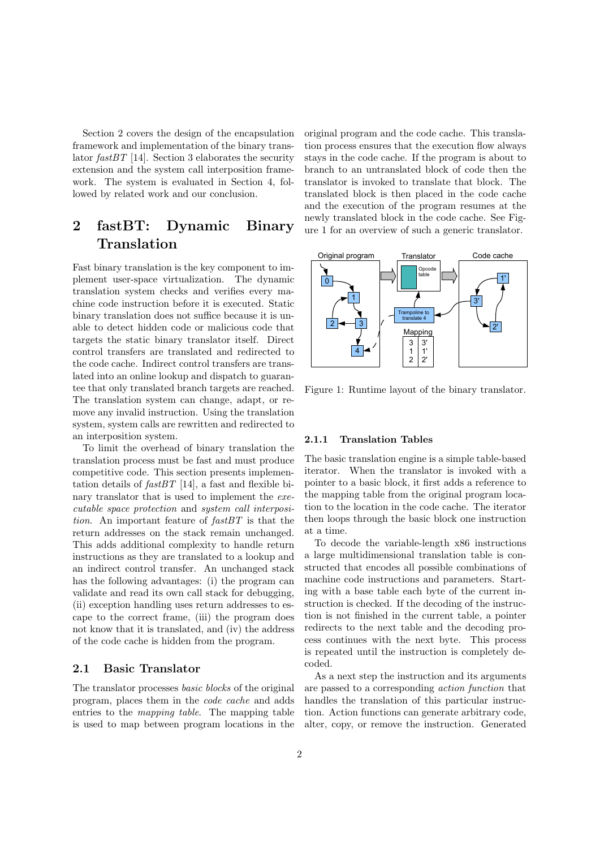Section 2 covers the design of the encapsulation framework and implementation of the binary translator  $fastBT$  [14]. Section 3 elaborates the security extension and the system call interposition framework. The system is evaluated in Section 4, followed by related work and our conclusion.

# 2 fastBT: Dynamic Binary Translation

Fast binary translation is the key component to implement user-space virtualization. The dynamic translation system checks and verifies every machine code instruction before it is executed. Static binary translation does not suffice because it is unable to detect hidden code or malicious code that targets the static binary translator itself. Direct control transfers are translated and redirected to the code cache. Indirect control transfers are translated into an online lookup and dispatch to guarantee that only translated branch targets are reached. The translation system can change, adapt, or remove any invalid instruction. Using the translation system, system calls are rewritten and redirected to an interposition system.

To limit the overhead of binary translation the translation process must be fast and must produce competitive code. This section presents implementation details of  $fastBT$  [14], a fast and flexible binary translator that is used to implement the executable space protection and system call interposition. An important feature of fastBT is that the return addresses on the stack remain unchanged. This adds additional complexity to handle return instructions as they are translated to a lookup and an indirect control transfer. An unchanged stack has the following advantages: (i) the program can validate and read its own call stack for debugging, (ii) exception handling uses return addresses to escape to the correct frame, (iii) the program does not know that it is translated, and (iv) the address of the code cache is hidden from the program.

### 2.1 Basic Translator

The translator processes basic blocks of the original program, places them in the code cache and adds entries to the mapping table. The mapping table is used to map between program locations in the original program and the code cache. This translation process ensures that the execution flow always stays in the code cache. If the program is about to branch to an untranslated block of code then the translator is invoked to translate that block. The translated block is then placed in the code cache and the execution of the program resumes at the newly translated block in the code cache. See Figure 1 for an overview of such a generic translator.



Figure 1: Runtime layout of the binary translator.

#### 2.1.1 Translation Tables

The basic translation engine is a simple table-based iterator. When the translator is invoked with a pointer to a basic block, it first adds a reference to the mapping table from the original program location to the location in the code cache. The iterator then loops through the basic block one instruction at a time.

To decode the variable-length x86 instructions a large multidimensional translation table is constructed that encodes all possible combinations of machine code instructions and parameters. Starting with a base table each byte of the current instruction is checked. If the decoding of the instruction is not finished in the current table, a pointer redirects to the next table and the decoding process continues with the next byte. This process is repeated until the instruction is completely decoded.

As a next step the instruction and its arguments are passed to a corresponding action function that handles the translation of this particular instruction. Action functions can generate arbitrary code, alter, copy, or remove the instruction. Generated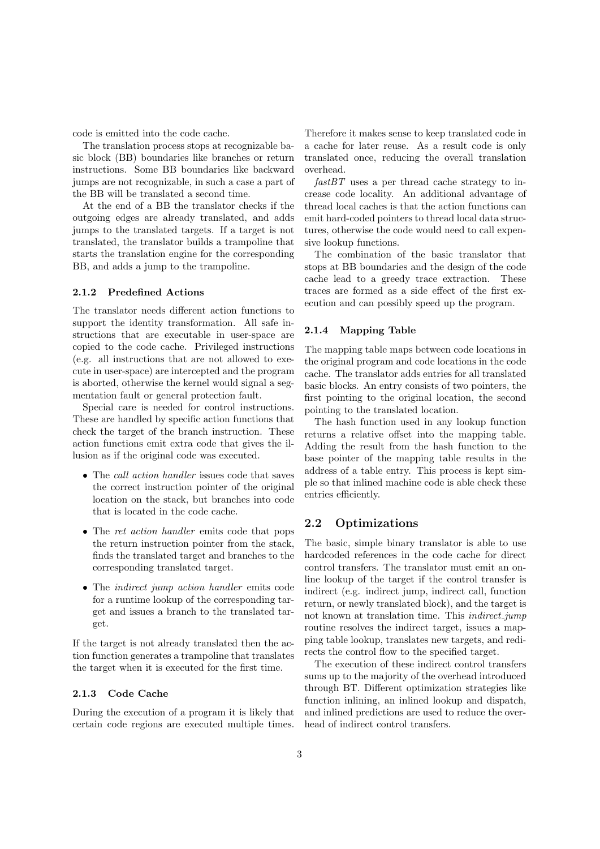code is emitted into the code cache.

The translation process stops at recognizable basic block (BB) boundaries like branches or return instructions. Some BB boundaries like backward jumps are not recognizable, in such a case a part of the BB will be translated a second time.

At the end of a BB the translator checks if the outgoing edges are already translated, and adds jumps to the translated targets. If a target is not translated, the translator builds a trampoline that starts the translation engine for the corresponding BB, and adds a jump to the trampoline.

#### 2.1.2 Predefined Actions

The translator needs different action functions to support the identity transformation. All safe instructions that are executable in user-space are copied to the code cache. Privileged instructions (e.g. all instructions that are not allowed to execute in user-space) are intercepted and the program is aborted, otherwise the kernel would signal a segmentation fault or general protection fault.

Special care is needed for control instructions. These are handled by specific action functions that check the target of the branch instruction. These action functions emit extra code that gives the illusion as if the original code was executed.

- The *call action handler* issues code that saves the correct instruction pointer of the original location on the stack, but branches into code that is located in the code cache.
- The ret action handler emits code that pops the return instruction pointer from the stack, finds the translated target and branches to the corresponding translated target.
- The indirect jump action handler emits code for a runtime lookup of the corresponding target and issues a branch to the translated target.

If the target is not already translated then the action function generates a trampoline that translates the target when it is executed for the first time.

#### 2.1.3 Code Cache

During the execution of a program it is likely that certain code regions are executed multiple times. Therefore it makes sense to keep translated code in a cache for later reuse. As a result code is only translated once, reducing the overall translation overhead.

 $fastBT$  uses a per thread cache strategy to increase code locality. An additional advantage of thread local caches is that the action functions can emit hard-coded pointers to thread local data structures, otherwise the code would need to call expensive lookup functions.

The combination of the basic translator that stops at BB boundaries and the design of the code cache lead to a greedy trace extraction. These traces are formed as a side effect of the first execution and can possibly speed up the program.

#### 2.1.4 Mapping Table

The mapping table maps between code locations in the original program and code locations in the code cache. The translator adds entries for all translated basic blocks. An entry consists of two pointers, the first pointing to the original location, the second pointing to the translated location.

The hash function used in any lookup function returns a relative offset into the mapping table. Adding the result from the hash function to the base pointer of the mapping table results in the address of a table entry. This process is kept simple so that inlined machine code is able check these entries efficiently.

#### 2.2 Optimizations

The basic, simple binary translator is able to use hardcoded references in the code cache for direct control transfers. The translator must emit an online lookup of the target if the control transfer is indirect (e.g. indirect jump, indirect call, function return, or newly translated block), and the target is not known at translation time. This *indirect\_jump* routine resolves the indirect target, issues a mapping table lookup, translates new targets, and redirects the control flow to the specified target.

The execution of these indirect control transfers sums up to the majority of the overhead introduced through BT. Different optimization strategies like function inlining, an inlined lookup and dispatch, and inlined predictions are used to reduce the overhead of indirect control transfers.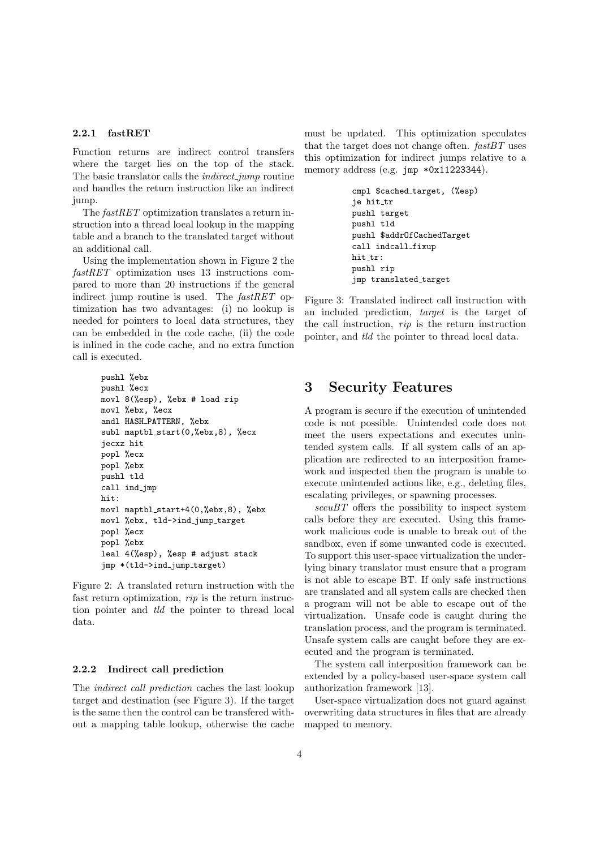#### 2.2.1 fastRET

Function returns are indirect control transfers where the target lies on the top of the stack. The basic translator calls the *indirect\_jump* routine and handles the return instruction like an indirect jump.

The fastRET optimization translates a return instruction into a thread local lookup in the mapping table and a branch to the translated target without an additional call.

Using the implementation shown in Figure 2 the fastRET optimization uses 13 instructions compared to more than 20 instructions if the general indirect jump routine is used. The *fastRET* optimization has two advantages: (i) no lookup is needed for pointers to local data structures, they can be embedded in the code cache, (ii) the code is inlined in the code cache, and no extra function call is executed.

```
pushl %ebx
pushl %ecx
movl 8(%esp), %ebx # load rip
movl %ebx, %ecx
andl HASH PATTERN, %ebx
subl maptbl start(0,%ebx,8), %ecx
jecxz hit
popl %ecx
popl %ebx
pushl tld
call ind jmp
hit:
movl maptbl_start+4(0,%ebx,8), %ebx
movl %ebx, tld->ind jump target
popl %ecx
popl %ebx
leal 4(%esp), %esp # adjust stack
jmp *(tld->ind jump target)
```
Figure 2: A translated return instruction with the fast return optimization, rip is the return instruction pointer and tld the pointer to thread local data.

#### 2.2.2 Indirect call prediction

The indirect call prediction caches the last lookup target and destination (see Figure 3). If the target is the same then the control can be transfered without a mapping table lookup, otherwise the cache must be updated. This optimization speculates that the target does not change often.  $fastBT$  uses this optimization for indirect jumps relative to a memory address (e.g. jmp \*0x11223344).

```
cmpl $cached target, (%esp)
je hit_tr
pushl target
pushl tld
pushl $addrOfCachedTarget
call indcall fixup
hit_tr:
pushl rip
jmp translated_target
```
Figure 3: Translated indirect call instruction with an included prediction, target is the target of the call instruction, rip is the return instruction pointer, and tld the pointer to thread local data.

## 3 Security Features

A program is secure if the execution of unintended code is not possible. Unintended code does not meet the users expectations and executes unintended system calls. If all system calls of an application are redirected to an interposition framework and inspected then the program is unable to execute unintended actions like, e.g., deleting files, escalating privileges, or spawning processes.

 $secuBT$  offers the possibility to inspect system calls before they are executed. Using this framework malicious code is unable to break out of the sandbox, even if some unwanted code is executed. To support this user-space virtualization the underlying binary translator must ensure that a program is not able to escape BT. If only safe instructions are translated and all system calls are checked then a program will not be able to escape out of the virtualization. Unsafe code is caught during the translation process, and the program is terminated. Unsafe system calls are caught before they are executed and the program is terminated.

The system call interposition framework can be extended by a policy-based user-space system call authorization framework [13].

User-space virtualization does not guard against overwriting data structures in files that are already mapped to memory.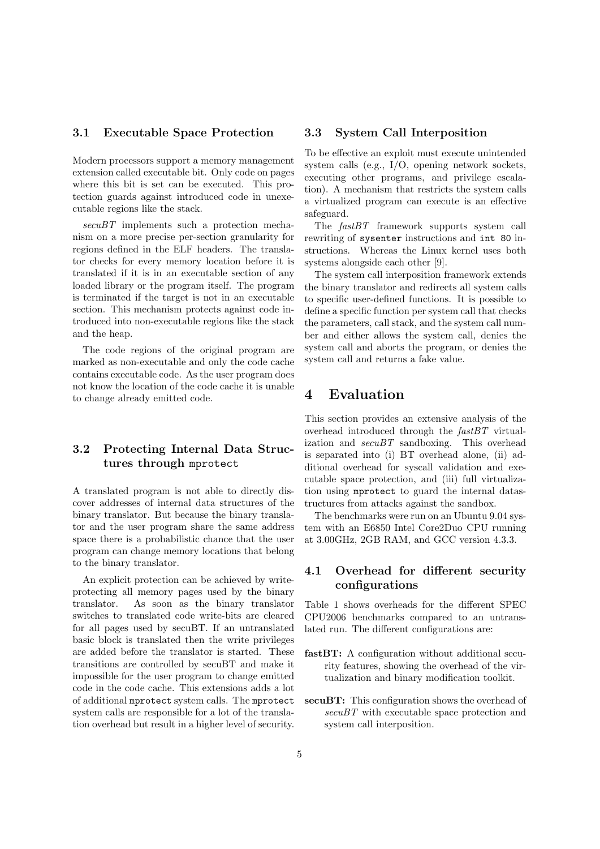#### 3.1 Executable Space Protection

Modern processors support a memory management extension called executable bit. Only code on pages where this bit is set can be executed. This protection guards against introduced code in unexecutable regions like the stack.

secuBT implements such a protection mechanism on a more precise per-section granularity for regions defined in the ELF headers. The translator checks for every memory location before it is translated if it is in an executable section of any loaded library or the program itself. The program is terminated if the target is not in an executable section. This mechanism protects against code introduced into non-executable regions like the stack and the heap.

The code regions of the original program are marked as non-executable and only the code cache contains executable code. As the user program does not know the location of the code cache it is unable to change already emitted code.

### 3.2 Protecting Internal Data Structures through mprotect

A translated program is not able to directly discover addresses of internal data structures of the binary translator. But because the binary translator and the user program share the same address space there is a probabilistic chance that the user program can change memory locations that belong to the binary translator.

An explicit protection can be achieved by writeprotecting all memory pages used by the binary translator. As soon as the binary translator switches to translated code write-bits are cleared for all pages used by secuBT. If an untranslated basic block is translated then the write privileges are added before the translator is started. These transitions are controlled by secuBT and make it impossible for the user program to change emitted code in the code cache. This extensions adds a lot of additional mprotect system calls. The mprotect system calls are responsible for a lot of the translation overhead but result in a higher level of security.

### 3.3 System Call Interposition

To be effective an exploit must execute unintended system calls (e.g., I/O, opening network sockets, executing other programs, and privilege escalation). A mechanism that restricts the system calls a virtualized program can execute is an effective safeguard.

The fastBT framework supports system call rewriting of sysenter instructions and int 80 instructions. Whereas the Linux kernel uses both systems alongside each other [9].

The system call interposition framework extends the binary translator and redirects all system calls to specific user-defined functions. It is possible to define a specific function per system call that checks the parameters, call stack, and the system call number and either allows the system call, denies the system call and aborts the program, or denies the system call and returns a fake value.

# 4 Evaluation

This section provides an extensive analysis of the overhead introduced through the fastBT virtualization and  $secuBT$  sandboxing. This overhead is separated into (i) BT overhead alone, (ii) additional overhead for syscall validation and executable space protection, and (iii) full virtualization using mprotect to guard the internal datastructures from attacks against the sandbox.

The benchmarks were run on an Ubuntu 9.04 system with an E6850 Intel Core2Duo CPU running at 3.00GHz, 2GB RAM, and GCC version 4.3.3.

### 4.1 Overhead for different security configurations

Table 1 shows overheads for the different SPEC CPU2006 benchmarks compared to an untranslated run. The different configurations are:

- fastBT: A configuration without additional security features, showing the overhead of the virtualization and binary modification toolkit.
- secuBT: This configuration shows the overhead of secuBT with executable space protection and system call interposition.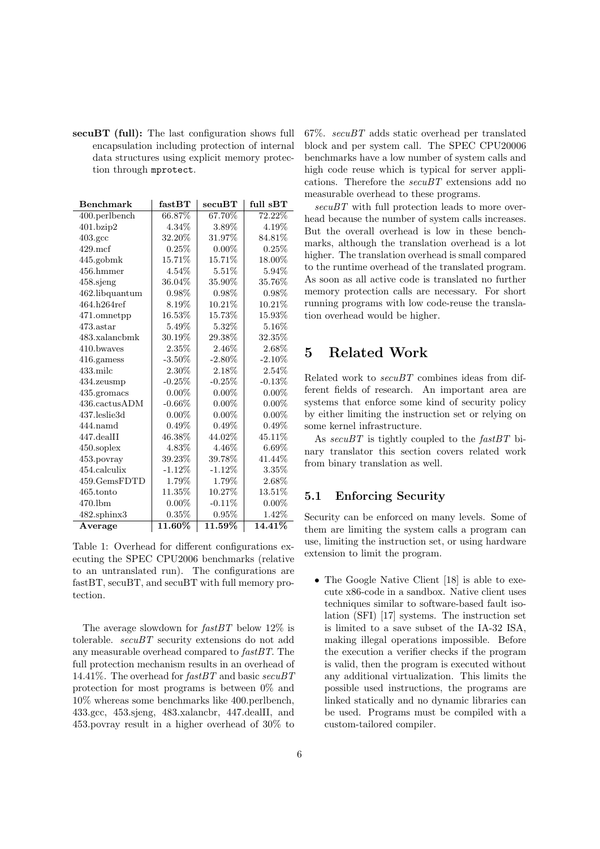secuBT (full): The last configuration shows full encapsulation including protection of internal data structures using explicit memory protection through mprotect.

| <b>Benchmark</b>   | fastBT    | secuBT    | full sBT  |
|--------------------|-----------|-----------|-----------|
| 400.perlbench      | 66.87%    | 67.70%    | 72.22%    |
| 401.bzip2          | 4.34\%    | $3.89\%$  | $4.19\%$  |
| $403.\mathrm{gcc}$ | 32.20%    | 31.97%    | 84.81%    |
| $429$ .mcf         | 0.25%     | $0.00\%$  | $0.25\%$  |
| 445.gobmk          | 15.71%    | 15.71%    | $18.00\%$ |
| $456.$ hmmer       | 4.54%     | $5.51\%$  | 5.94%     |
| $458$ .sjeng       | 36.04\%   | 35.90%    | 35.76%    |
| 462.libquantum     | 0.98%     | 0.98%     | 0.98%     |
| 464.h264ref        | 8.19%     | 10.21%    | 10.21%    |
| 471.omnetpp        | 16.53%    | 15.73%    | $15.93\%$ |
| 473.astar          | 5.49%     | 5.32%     | $5.16\%$  |
| 483.xalancbmk      | 30.19%    | $29.38\%$ | 32.35%    |
| 410.bwayes         | 2.35%     | 2.46\%    | 2.68%     |
| 416.gamess         | $-3.50\%$ | $-2.80\%$ | $-2.10\%$ |
| $433$ .milc        | 2.30%     | $2.18\%$  | $2.54\%$  |
| 434.zeusmp         | $-0.25%$  | $-0.25%$  | $-0.13%$  |
| 435.gromacs        | $0.00\%$  | $0.00\%$  | $0.00\%$  |
| 436.cactusADM      | $-0.66\%$ | $0.00\%$  | $0.00\%$  |
| 437.leslie3d       | $0.00\%$  | $0.00\%$  | $0.00\%$  |
| $444$ .namd        | $0.49\%$  | $0.49\%$  | $0.49\%$  |
| 447.dealII         | 46.38%    | 44.02%    | 45.11\%   |
| $450$ .soplex      | 4.83%     | 4.46\%    | $6.69\%$  |
| 453. povray        | 39.23%    | 39.78%    | 41.44%    |
| 454.calculix       | $-1.12%$  | $-1.12\%$ | $3.35\%$  |
| 459.GemsFDTD       | 1.79%     | 1.79%     | 2.68%     |
| $465$ .tonto       | 11.35%    | 10.27%    | $13.51\%$ |
| $470$ .lbm         | $0.00\%$  | $-0.11\%$ | $0.00\%$  |
| 482.sphinx3        | $0.35\%$  | 0.95%     | 1.42%     |
| Average            | 11.60%    | 11.59%    | 14.41%    |

Table 1: Overhead for different configurations executing the SPEC CPU2006 benchmarks (relative to an untranslated run). The configurations are fastBT, secuBT, and secuBT with full memory protection.

The average slowdown for  $fastBT$  below 12% is tolerable.  $secuBT$  security extensions do not add any measurable overhead compared to fastBT. The full protection mechanism results in an overhead of 14.41%. The overhead for  $fastBT$  and basic  $secuBT$ protection for most programs is between 0% and 10% whereas some benchmarks like 400.perlbench, 433.gcc, 453.sjeng, 483.xalancbr, 447.dealII, and 453.povray result in a higher overhead of 30% to

 $67\%$ .  $secuBT$  adds static overhead per translated block and per system call. The SPEC CPU20006 benchmarks have a low number of system calls and high code reuse which is typical for server applications. Therefore the  $secuBT$  extensions add no measurable overhead to these programs.

secuBT with full protection leads to more overhead because the number of system calls increases. But the overall overhead is low in these benchmarks, although the translation overhead is a lot higher. The translation overhead is small compared to the runtime overhead of the translated program. As soon as all active code is translated no further memory protection calls are necessary. For short running programs with low code-reuse the translation overhead would be higher.

# 5 Related Work

Related work to secuBT combines ideas from different fields of research. An important area are systems that enforce some kind of security policy by either limiting the instruction set or relying on some kernel infrastructure.

As  $secuBT$  is tightly coupled to the  $fastBT$  binary translator this section covers related work from binary translation as well.

### 5.1 Enforcing Security

Security can be enforced on many levels. Some of them are limiting the system calls a program can use, limiting the instruction set, or using hardware extension to limit the program.

• The Google Native Client [18] is able to execute x86-code in a sandbox. Native client uses techniques similar to software-based fault isolation (SFI) [17] systems. The instruction set is limited to a save subset of the IA-32 ISA, making illegal operations impossible. Before the execution a verifier checks if the program is valid, then the program is executed without any additional virtualization. This limits the possible used instructions, the programs are linked statically and no dynamic libraries can be used. Programs must be compiled with a custom-tailored compiler.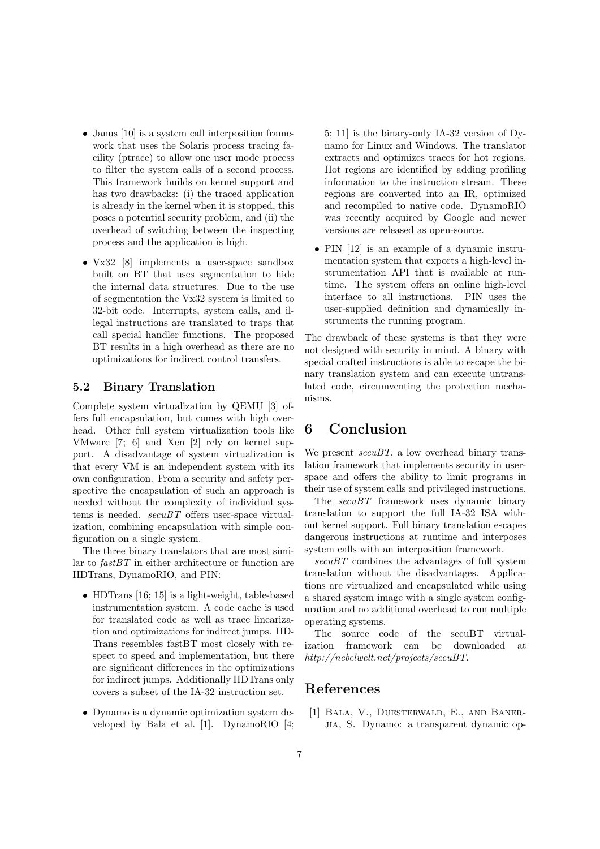- Janus [10] is a system call interposition framework that uses the Solaris process tracing facility (ptrace) to allow one user mode process to filter the system calls of a second process. This framework builds on kernel support and has two drawbacks: (i) the traced application is already in the kernel when it is stopped, this poses a potential security problem, and (ii) the overhead of switching between the inspecting process and the application is high.
- Vx32 [8] implements a user-space sandbox built on BT that uses segmentation to hide the internal data structures. Due to the use of segmentation the Vx32 system is limited to 32-bit code. Interrupts, system calls, and illegal instructions are translated to traps that call special handler functions. The proposed BT results in a high overhead as there are no optimizations for indirect control transfers.

#### 5.2 Binary Translation

Complete system virtualization by QEMU [3] offers full encapsulation, but comes with high overhead. Other full system virtualization tools like VMware [7; 6] and Xen [2] rely on kernel support. A disadvantage of system virtualization is that every VM is an independent system with its own configuration. From a security and safety perspective the encapsulation of such an approach is needed without the complexity of individual systems is needed. secuBT offers user-space virtualization, combining encapsulation with simple configuration on a single system.

The three binary translators that are most similar to fastBT in either architecture or function are HDTrans, DynamoRIO, and PIN:

- HDTrans [16; 15] is a light-weight, table-based instrumentation system. A code cache is used for translated code as well as trace linearization and optimizations for indirect jumps. HD-Trans resembles fastBT most closely with respect to speed and implementation, but there are significant differences in the optimizations for indirect jumps. Additionally HDTrans only covers a subset of the IA-32 instruction set.
- Dynamo is a dynamic optimization system developed by Bala et al. [1]. DynamoRIO [4;

5; 11] is the binary-only IA-32 version of Dynamo for Linux and Windows. The translator extracts and optimizes traces for hot regions. Hot regions are identified by adding profiling information to the instruction stream. These regions are converted into an IR, optimized and recompiled to native code. DynamoRIO was recently acquired by Google and newer versions are released as open-source.

• PIN [12] is an example of a dynamic instrumentation system that exports a high-level instrumentation API that is available at runtime. The system offers an online high-level interface to all instructions. PIN uses the user-supplied definition and dynamically instruments the running program.

The drawback of these systems is that they were not designed with security in mind. A binary with special crafted instructions is able to escape the binary translation system and can execute untranslated code, circumventing the protection mechanisms.

# 6 Conclusion

We present  $secuBT$ , a low overhead binary translation framework that implements security in userspace and offers the ability to limit programs in their use of system calls and privileged instructions.

The  $secuBT$  framework uses dynamic binary translation to support the full IA-32 ISA without kernel support. Full binary translation escapes dangerous instructions at runtime and interposes system calls with an interposition framework.

 $secuBT$  combines the advantages of full system translation without the disadvantages. Applications are virtualized and encapsulated while using a shared system image with a single system configuration and no additional overhead to run multiple operating systems.

The source code of the secuBT virtualization framework can be downloaded http://nebelwelt.net/projects/secuBT.

### References

[1] Bala, V., Duesterwald, E., and Banerjia, S. Dynamo: a transparent dynamic op-